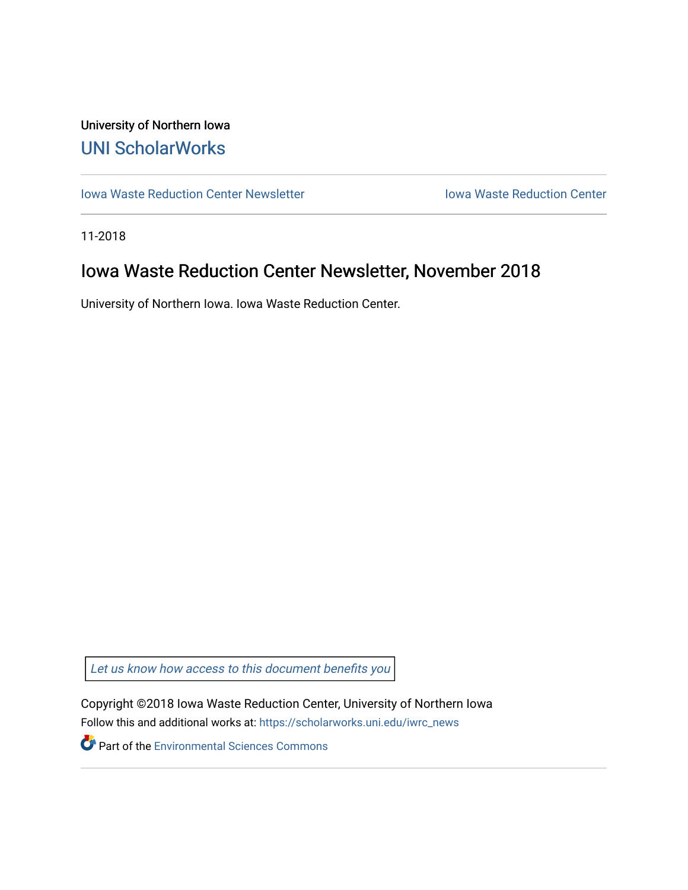## University of Northern Iowa [UNI ScholarWorks](https://scholarworks.uni.edu/)

[Iowa Waste Reduction Center Newsletter](https://scholarworks.uni.edu/iwrc_news) **Internal Communist Communist Center** Iowa Waste Reduction Center

11-2018

# Iowa Waste Reduction Center Newsletter, November 2018

University of Northern Iowa. Iowa Waste Reduction Center.

Let us know how access to this document benefits you

Copyright ©2018 Iowa Waste Reduction Center, University of Northern Iowa Follow this and additional works at: [https://scholarworks.uni.edu/iwrc\\_news](https://scholarworks.uni.edu/iwrc_news?utm_source=scholarworks.uni.edu%2Fiwrc_news%2F24&utm_medium=PDF&utm_campaign=PDFCoverPages) 

**Part of the [Environmental Sciences Commons](http://network.bepress.com/hgg/discipline/167?utm_source=scholarworks.uni.edu%2Fiwrc_news%2F24&utm_medium=PDF&utm_campaign=PDFCoverPages)**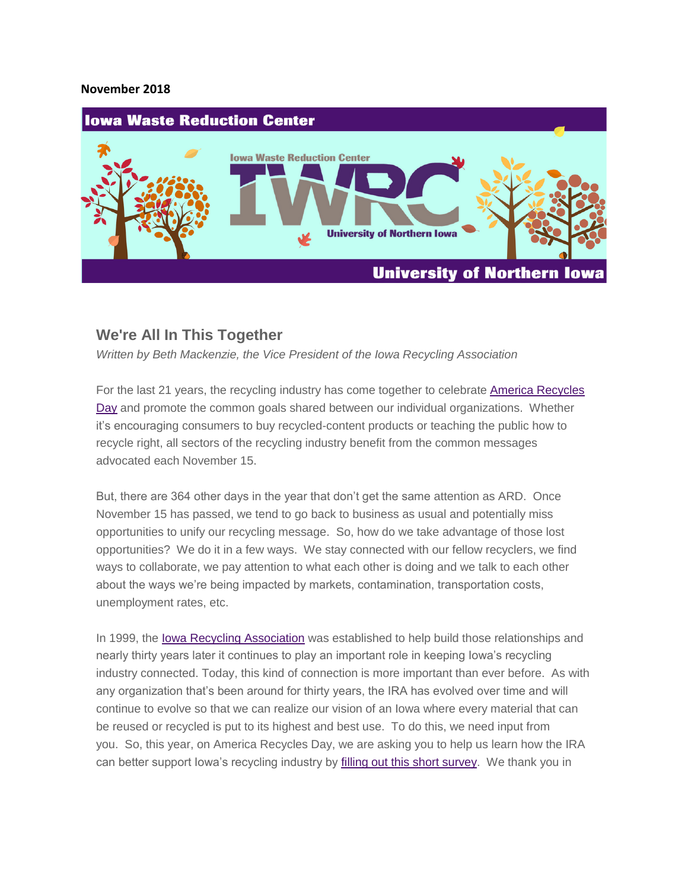#### **November 2018**



#### **We're All In This Together**

*Written by Beth Mackenzie, the Vice President of the Iowa Recycling Association*

For the last 21 years, the recycling industry has come together to celebrate [America Recycles](https://americarecyclesday.org/)  [Day](https://americarecyclesday.org/) and promote the common goals shared between our individual organizations. Whether it's encouraging consumers to buy recycled-content products or teaching the public how to recycle right, all sectors of the recycling industry benefit from the common messages advocated each November 15.

But, there are 364 other days in the year that don't get the same attention as ARD. Once November 15 has passed, we tend to go back to business as usual and potentially miss opportunities to unify our recycling message. So, how do we take advantage of those lost opportunities? We do it in a few ways. We stay connected with our fellow recyclers, we find ways to collaborate, we pay attention to what each other is doing and we talk to each other about the ways we're being impacted by markets, contamination, transportation costs, unemployment rates, etc.

In 1999, the [Iowa Recycling Association](http://www.iowarecycles.org/) was established to help build those relationships and nearly thirty years later it continues to play an important role in keeping Iowa's recycling industry connected. Today, this kind of connection is more important than ever before. As with any organization that's been around for thirty years, the IRA has evolved over time and will continue to evolve so that we can realize our vision of an Iowa where every material that can be reused or recycled is put to its highest and best use. To do this, we need input from you. So, this year, on America Recycles Day, we are asking you to help us learn how the IRA can better support Iowa's recycling industry by [filling out this short survey.](https://uiowa.qualtrics.com/jfe/form/SV_eaPcTqoBKOUuYa9) We thank you in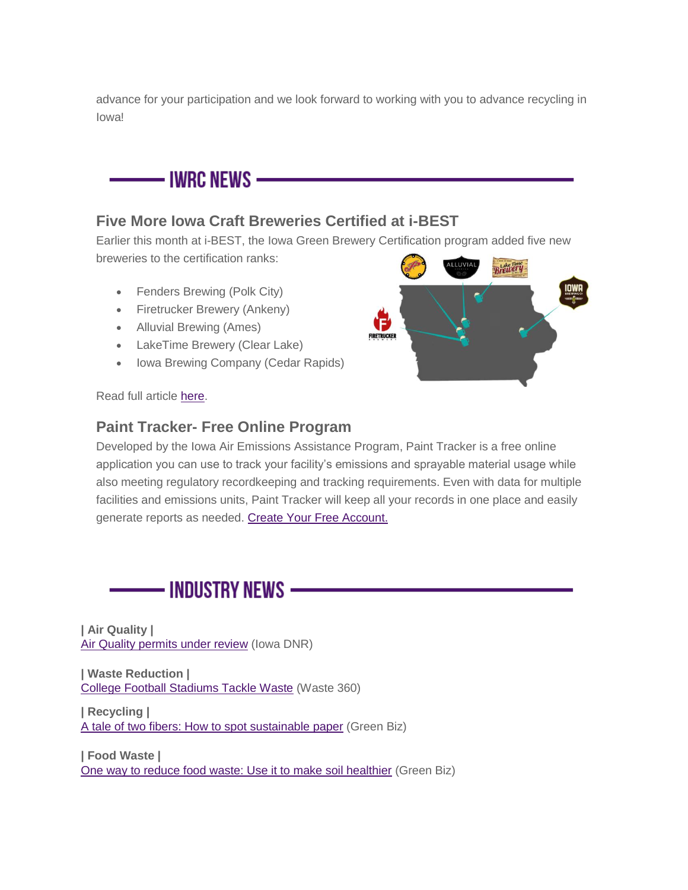advance for your participation and we look forward to working with you to advance recycling in Iowa!

– IWRC NEWS —

### **Five More Iowa Craft Breweries Certified at i-BEST**

Earlier this month at i-BEST, the Iowa Green Brewery Certification program added five new breweries to the certification ranks: **Brewery** 

- Fenders Brewing (Polk City)
- Firetrucker Brewery (Ankeny)
- Alluvial Brewing (Ames)
- LakeTime Brewery (Clear Lake)
- Iowa Brewing Company (Cedar Rapids)

**FIRETRUCKE** 

Read full article [here.](https://iwrc.uni.edu/five-more-iowa-craft-breweries-certified-at-i-best)

#### **Paint Tracker- Free Online Program**

Developed by the Iowa Air Emissions Assistance Program, Paint Tracker is a free online application you can use to track your facility's emissions and sprayable material usage while also meeting regulatory recordkeeping and tracking requirements. Even with data for multiple facilities and emissions units, Paint Tracker will keep all your records in one place and easily generate reports as needed. [Create Your Free Account.](https://painttracker.iwrc.uni.edu/)



**| Air Quality |** [Air Quality permits](http://www.iowadnr.gov/About-DNR/DNR-News-Releases/ArticleID/2144/Air-Quality-permits-under-review) under review (Iowa DNR)

**| Waste Reduction |** [College Football Stadiums Tackle Waste](https://www.waste360.com/waste-reduction/college-football-stadiums-tackle-waste) (Waste 360)

**| Recycling |** A tale [of two fibers: How to spot sustainable paper](https://www.greenbiz.com/article/tale-two-fibers-how-spot-sustainable-paper-sponsored) (Green Biz)

**| Food Waste |** [One way to reduce food waste: Use it to make soil healthier](https://www.greenbiz.com/article/one-way-reduce-food-waste-use-it-make-soil-healthier) (Green Biz)